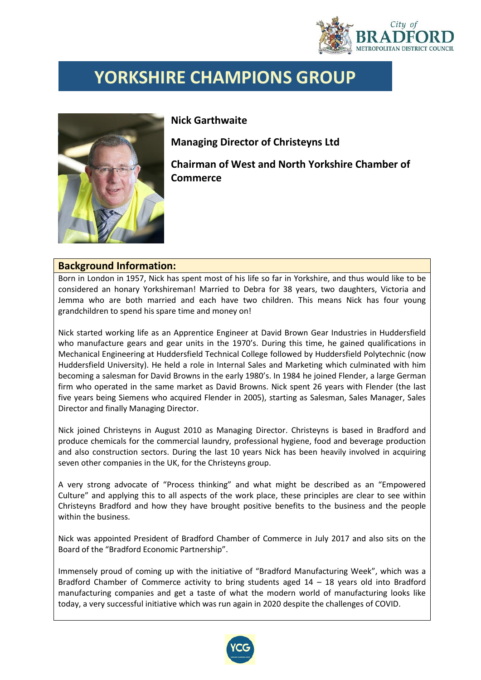

## **YORKSHIRE CHAMPIONS GROUP**



**Nick Garthwaite**

**Commerce**

**Managing Director of Christeyns Ltd Chairman of West and North Yorkshire Chamber of** 

## **Background Information:**

Born in London in 1957, Nick has spent most of his life so far in Yorkshire, and thus would like to be considered an honary Yorkshireman! Married to Debra for 38 years, two daughters, Victoria and Jemma who are both married and each have two children. This means Nick has four young grandchildren to spend his spare time and money on!

Nick started working life as an Apprentice Engineer at David Brown Gear Industries in Huddersfield who manufacture gears and gear units in the 1970's. During this time, he gained qualifications in Mechanical Engineering at Huddersfield Technical College followed by Huddersfield Polytechnic (now Huddersfield University). He held a role in Internal Sales and Marketing which culminated with him becoming a salesman for David Browns in the early 1980's. In 1984 he joined Flender, a large German firm who operated in the same market as David Browns. Nick spent 26 years with Flender (the last five years being Siemens who acquired Flender in 2005), starting as Salesman, Sales Manager, Sales Director and finally Managing Director.

Nick joined Christeyns in August 2010 as Managing Director. Christeyns is based in Bradford and produce chemicals for the commercial laundry, professional hygiene, food and beverage production and also construction sectors. During the last 10 years Nick has been heavily involved in acquiring seven other companies in the UK, for the Christeyns group.

A very strong advocate of "Process thinking" and what might be described as an "Empowered Culture" and applying this to all aspects of the work place, these principles are clear to see within Christeyns Bradford and how they have brought positive benefits to the business and the people within the business.

Nick was appointed President of Bradford Chamber of Commerce in July 2017 and also sits on the Board of the "Bradford Economic Partnership".

Immensely proud of coming up with the initiative of "Bradford Manufacturing Week", which was a Bradford Chamber of Commerce activity to bring students aged 14 – 18 years old into Bradford manufacturing companies and get a taste of what the modern world of manufacturing looks like today, a very successful initiative which was run again in 2020 despite the challenges of COVID.